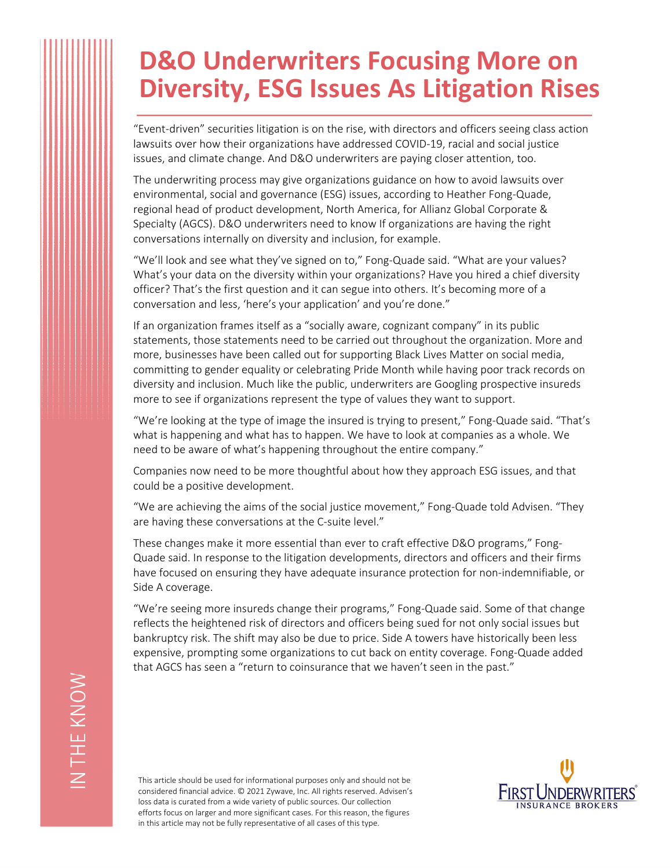## **D&O Underwriters Focusing More on Diversity, ESG Issues As Litigation Rises**

"Event‐driven" securities litigation is on the rise, with directors and officers seeing class action lawsuits over how their organizations have addressed COVID‐19, racial and social justice issues, and climate change. And D&O underwriters are paying closer attention, too.

The underwriting process may give organizations guidance on how to avoid lawsuits over environmental, social and governance (ESG) issues, according to Heather Fong‐Quade, regional head of product development, North America, for Allianz Global Corporate & Specialty (AGCS). D&O underwriters need to know If organizations are having the right conversations internally on diversity and inclusion, for example.

"We'll look and see what they've signed on to," Fong‐Quade said. "What are your values? What's your data on the diversity within your organizations? Have you hired a chief diversity officer? That's the first question and it can segue into others. It's becoming more of a conversation and less, 'here's your application' and you're done."

If an organization frames itself as a "socially aware, cognizant company" in its public statements, those statements need to be carried out throughout the organization. More and more, businesses have been called out for supporting Black Lives Matter on social media, committing to gender equality or celebrating Pride Month while having poor track records on diversity and inclusion. Much like the public, underwriters are Googling prospective insureds more to see if organizations represent the type of values they want to support.

"We're looking at the type of image the insured is trying to present," Fong‐Quade said. "That's what is happening and what has to happen. We have to look at companies as a whole. We need to be aware of what's happening throughout the entire company."

Companies now need to be more thoughtful about how they approach ESG issues, and that could be a positive development.

"We are achieving the aims of the social justice movement," Fong‐Quade told Advisen. "They are having these conversations at the C‐suite level."

These changes make it more essential than ever to craft effective D&O programs," Fong‐ Quade said. In response to the litigation developments, directors and officers and their firms have focused on ensuring they have adequate insurance protection for non-indemnifiable, or Side A coverage.

"We're seeing more insureds change their programs," Fong‐Quade said. Some of that change reflects the heightened risk of directors and officers being sued for not only social issues but bankruptcy risk. The shift may also be due to price. Side A towers have historically been less expensive, prompting some organizations to cut back on entity coverage. Fong‐Quade added that AGCS has seen a "return to coinsurance that we haven't seen in the past."

This article should be used for informational purposes only and should not be considered financial advice. © 2021 Zywave, Inc. All rights reserved. Advisen's loss data is curated from a wide variety of public sources. Our collection efforts focus on larger and more significant cases. For this reason, the figures in this article may not be fully representative of all cases of this type.